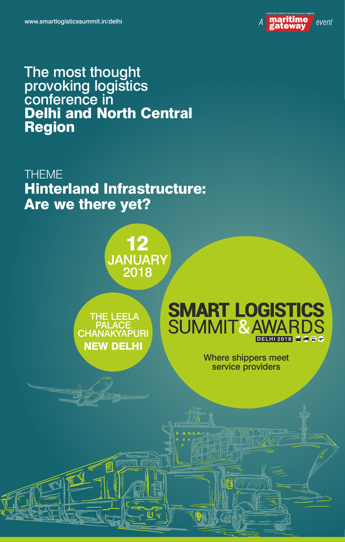

# The most thought provoking logistics conference in Delhi and North Central Region

THEME Hinterland Infrastructure: Are we there yet?

> 12 JANUARY 2018

 THE LEELA PALACE CHANAKYAPURI NEW DELHI



Where shippers meet service providers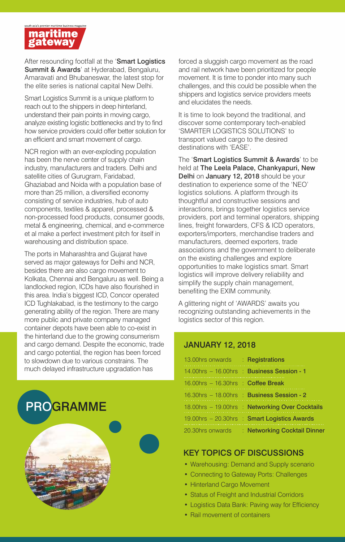

After resounding footfall at the 'Smart Logistics Summit & Awards' at Hyderabad, Bengaluru, Amaravati and Bhubaneswar, the latest stop for the elite series is national capital New Delhi.

Smart Logistics Summit is a unique platform to reach out to the shippers in deep hinterland, understand their pain points in moving cargo, analyze existing logistic bottlenecks and try to find how service providers could offer better solution for an efficient and smart movement of cargo.

NCR region with an ever-exploding population has been the nerve center of supply chain industry, manufacturers and traders. Delhi and satellite cities of Gurugram, Faridabad, Ghaziabad and Noida with a population base of more than 25 million, a diversified economy consisting of service industries, hub of auto components, textiles & apparel, processed & non-processed food products, consumer goods, metal & engineering, chemical, and e-commerce et al make a perfect investment pitch for itself in warehousing and distribution space.

The ports in Maharashtra and Gujarat have served as major gateways for Delhi and NCR, besides there are also cargo movement to Kolkata, Chennai and Bengaluru as well. Being a landlocked region, ICDs have also flourished in this area. India's biggest ICD, Concor operated ICD Tughlakabad, is the testimony to the cargo generating ability of the region. There are many more public and private company managed container depots have been able to co-exist in the hinterland due to the growing consumerism and cargo demand. Despite the economic, trade and cargo potential, the region has been forced to slowdown due to various constrains. The much delayed infrastructure upgradation has

PROGRAMME

forced a sluggish cargo movement as the road and rail network have been prioritized for people movement. It is time to ponder into many such challenges, and this could be possible when the shippers and logistics service providers meets and elucidates the needs.

It is time to look beyond the traditional, and discover some contemporary tech-enabled 'SMARTER LOGISTICS SOLUTIONS' to transport valued cargo to the desired destinations with 'EASE'.

The 'Smart Logistics Summit & Awards' to be held at The Leela Palace, Chankyapuri, New Delhi on January 12, 2018 should be your destination to experience some of the 'NEO' logistics solutions. A platform through its thoughtful and constructive sessions and interactions, brings together logistics service providers, port and terminal operators, shipping lines, freight forwarders, CFS & ICD operators, exporters/importers, merchandise traders and manufacturers, deemed exporters, trade associations and the government to deliberate on the existing challenges and explore opportunities to make logistics smart. Smart logistics will improve delivery reliability and simplify the supply chain management, benefiting the EXIM community.

A glittering night of 'AWARDS' awaits you recognizing outstanding achievements in the logistics sector of this region.

#### JANUARY 12, 2018

| 13.00hrs onwards : Registrations                |                                                 |
|-------------------------------------------------|-------------------------------------------------|
|                                                 | 14.00hrs - 16.00hrs  Business Session - 1       |
| 16.00hrs $-$ 16.30hrs $\therefore$ Coffee Break |                                                 |
|                                                 | 16.30hrs - 18.00hrs : Business Session - 2      |
|                                                 | 18.00hrs - 19.00hrs : Networking Over Cocktails |
|                                                 | 19.00hrs - 20.30hrs : Smart Logistics Awards    |
|                                                 | 20.30hrs onwards : Networking Cocktail Dinner   |

### KEY TOPICS OF DISCUSSIONS

- Warehousing: Demand and Supply scenario
- Connecting to Gateway Ports: Challenges
- Hinterland Cargo Movement
- Status of Freight and Industrial Corridors
- Logistics Data Bank: Paving way for Efficiency
- Rail movement of containers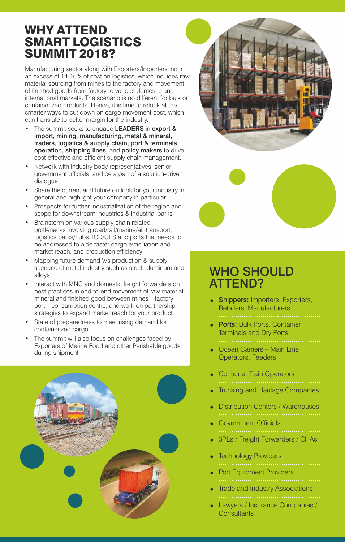## WHY ATTEND SMART LOGISTICS SUMMIT 2018?

Manufacturing sector along with Exporters/Importers incur an excess of 14-16% of cost on logistics, which includes raw material sourcing from mines to the factory and movement of finished goods from factory to various domestic and international markets. The scenario is no different for bulk or containerized products. Hence, it is time to relook at the smarter ways to cut down on cargo movement cost, which can translate to better margin for the industry.

- The summit seeks to engage LEADERS in export & import, mining, manufacturing, metal & mineral, traders, logistics & supply chain, port & terminals operation, shipping lines, and policy makers to drive cost-effective and efficient supply chain management.
- Network with industry body representatives, senior government officials, and be a part of a solution-driven dialogue
- Share the current and future outlook for your industry in general and highlight your company in particular
- Prospects for further industrialization of the region and scope for downstream industries & industrial parks
- Brainstorm on various supply chain related bottlenecks involving road/rail/marine/air transport, logistics parks/hubs, ICD/CFS and ports that needs to be addressed to aide faster cargo evacuation and market reach, and production efficiency
- Mapping future demand V/s production & supply scenario of metal industry such as steel, aluminum and alloys
- Interact with MNC and domestic freight forwarders on best practices in end-to-end movement of raw material, mineral and finished good between mines—factory port—consumption centre, and work on partnership strategies to expand market reach for your product
- State of preparedness to meet rising demand for containerized cargo
- The summit will also focus on challenges faced by Exporters of Marine Food and other Perishable goods during shipment







# WHO SHOULD ATTEND?

- Shippers: Importers, Exporters, Retailers, Manufacturers
- **Ports: Bulk Ports, Container** Terminals and Dry Ports
	-
- Ocean Carriers Main Line Operators, Feeders
- Container Train Operators
- Trucking and Haulage Companies
- Distribution Centers / Warehouses
- Government Officials
- 3PLs / Freight Forwarders / CHAs
- Technology Providers
- Port Equipment Providers
- Trade and Industry Associations
- Lawyers / Insurance Companies / **Consultants**